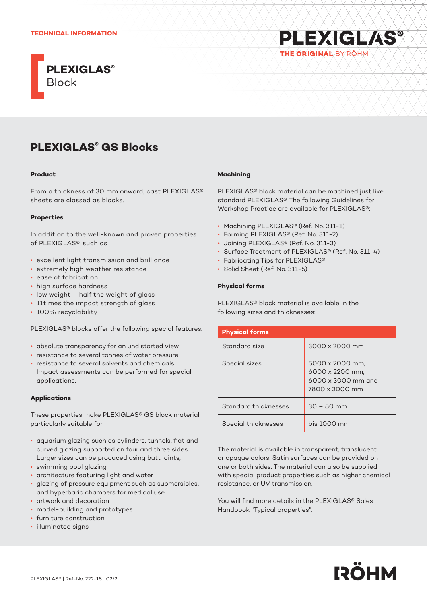## **TECHNICAL INFORMATION**



# **PLEXIGLAS®** THE ORIGINAL BY ROHM

# **PLEXIGLAS® GS Blocks**

#### **Product**

From a thickness of 30 mm onward, cast PLEXIGLAS® sheets are classed as blocks.

## **Properties**

In addition to the well-known and proven properties of PLEXIGLAS®, such as

- excellent light transmission and brilliance
- extremely high weather resistance
- ease of fabrication
- high surface hardness
- low weight half the weight of glass
- 11times the impact strength of glass
- 100% recyclability

PLEXIGLAS® blocks offer the following special features:

- absolute transparency for an undistorted view
- resistance to several tonnes of water pressure
- resistance to several solvents and chemicals. Impact assessments can be performed for special applications.

# **Applications**

These properties make PLEXIGLAS® GS block material particularly suitable for

- aquarium glazing such as cylinders, tunnels, flat and curved glazing supported on four and three sides. Larger sizes can be produced using butt joints;
- swimming pool glazing
- architecture featuring light and water
- glazing of pressure equipment such as submersibles, and hyperbaric chambers for medical use
- artwork and decoration
- model-building and prototypes
- furniture construction
- illuminated signs

# **Machining**

PLEXIGLAS® block material can be machined just like standard PLEXIGLAS®. The following Guidelines for Workshop Practice are available for PLEXIGLAS®:

- Machining PLEXIGLAS® (Ref. No. 311-1)
- Forming PLEXIGLAS® (Ref. No. 311-2)
- Joining PLEXIGLAS® (Ref. No. 311-3)
- Surface Treatment of PLEXIGLAS® (Ref. No. 311-4)
- Fabricating Tips for PLEXIGLAS®
- Solid Sheet (Ref. No. 311-5)

# **Physical forms**

PLEXIGLAS® block material is available in the following sizes and thicknesses:

| <b>Physical forms</b> |                                                                                   |
|-----------------------|-----------------------------------------------------------------------------------|
| Standard size         | 3000 x 2000 mm                                                                    |
| Special sizes         | 5000 x 2000 mm.<br>6000 x 2200 mm.<br>$6000 \times 3000$ mm and<br>7800 x 3000 mm |
| Standard thicknesses  | $30 - 80$ mm                                                                      |
| Special thicknesses   | bis 1000 mm                                                                       |

The material is available in transparent, translucent or opaque colors. Satin surfaces can be provided on one or both sides. The material can also be supplied with special product properties such as higher chemical resistance, or UV transmission.

You will find more details in the PLEXIGLAS® Sales Handbook "Typical properties".